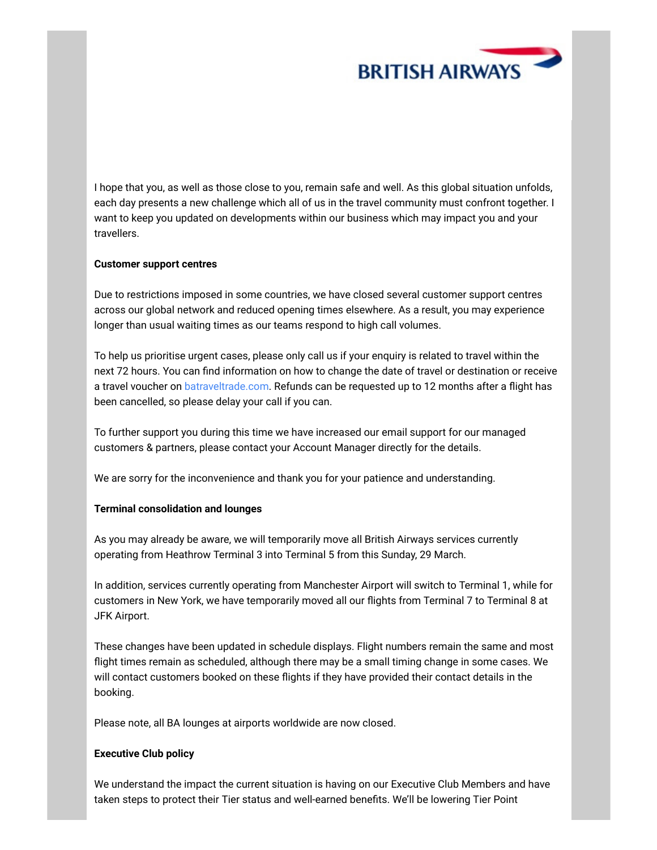

I hope that you, as well as those close to you, remain safe and well. As this global situation unfolds, each day presents a new challenge which all of us in the travel community must confront together. I want to keep you updated on developments within our business which may impact you and your travellers.

# **Customer support centres**

Due to restrictions imposed in some countries, we have closed several customer support centres across our global network and reduced opening times elsewhere. As a result, you may experience longer than usual waiting times as our teams respond to high call volumes.

To help us prioritise urgent cases, please only call us if your enquiry is related to travel within the next 72 hours. You can find information on how to change the date of travel or destination or receive a travel voucher on [batraveltrade.com.](http://batraveltrade.com/) Refunds can be requested up to 12 months after a flight has been cancelled, so please delay your call if you can.

To further support you during this time we have increased our email support for our managed customers & partners, please contact your Account Manager directly for the details.

We are sorry for the inconvenience and thank you for your patience and understanding.

### **Terminal consolidation and lounges**

As you may already be aware, we will temporarily move all British Airways services currently operating from Heathrow Terminal 3 into Terminal 5 from this Sunday, 29 March.

In addition, services currently operating from Manchester Airport will switch to Terminal 1, while for customers in New York, we have temporarily moved all our flights from Terminal 7 to Terminal 8 at JFK Airport.

These changes have been updated in schedule displays. Flight numbers remain the same and most flight times remain as scheduled, although there may be a small timing change in some cases. We will contact customers booked on these flights if they have provided their contact details in the booking.

Please note, all BA lounges at airports worldwide are now closed.

### **Executive Club policy**

We understand the impact the current situation is having on our Executive Club Members and have taken steps to protect their Tier status and well-earned benefits. We'll be lowering Tier Point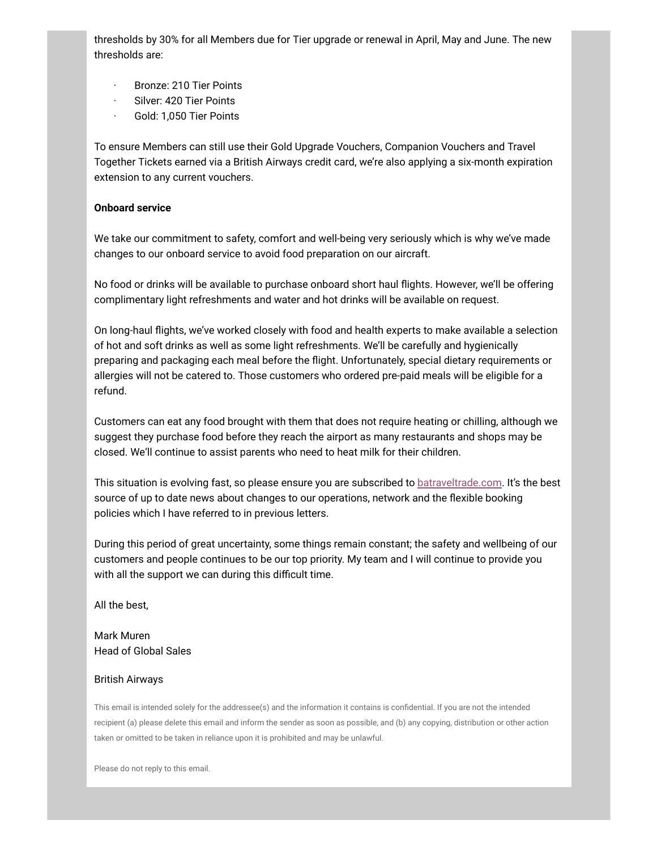thresholds by 30% for all Members due for Tier upgrade or renewal in April, May and June. The new thresholds are:

- Bronze: 210 Tier Points
- Silver: 420 Tier Points
- Gold: 1,050 Tier Points

To ensure Members can still use their Gold Upgrade Vouchers, Companion Vouchers and Travel Together Tickets earned via a British Airways credit card, we're also applying a six-month expiration extension to any current vouchers.

## **Onboard service**

We take our commitment to safety, comfort and well-being very seriously which is why we've made changes to our onboard service to avoid food preparation on our aircraft.

No food or drinks will be available to purchase onboard short haul flights. However, we'll be offering complimentary light refreshments and water and hot drinks will be available on request.

On long-haul flights, we've worked closely with food and health experts to make available a selection of hot and soft drinks as well as some light refreshments. We'll be carefully and hygienically preparing and packaging each meal before the flight. Unfortunately, special dietary requirements or allergies will not be catered to. Those customers who ordered pre-paid meals will be eligible for a refund.

Customers can eat any food brought with them that does not require heating or chilling, although we suggest they purchase food before they reach the airport as many restaurants and shops may be closed. We'll continue to assist parents who need to heat milk for their children.

This situation is evolving fast, so please ensure you are subscribed to **batraveltrade.com**. It's the best source of up to date news about changes to our operations, network and the flexible booking policies which I have referred to in previous letters.

During this period of great uncertainty, some things remain constant; the safety and wellbeing of our customers and people continues to be our top priority. My team and I will continue to provide you with all the support we can during this difficult time.

All the best,

# Mark Muren Head of Global Sales

# British Airways

This email is intended solely for the addressee(s) and the information it contains is confidential. If you are not the intended recipient (a) please delete this email and inform the sender as soon as possible, and (b) any copying, distribution or other action taken or omitted to be taken in reliance upon it is prohibited and may be unlawful.

Please do not reply to this email.